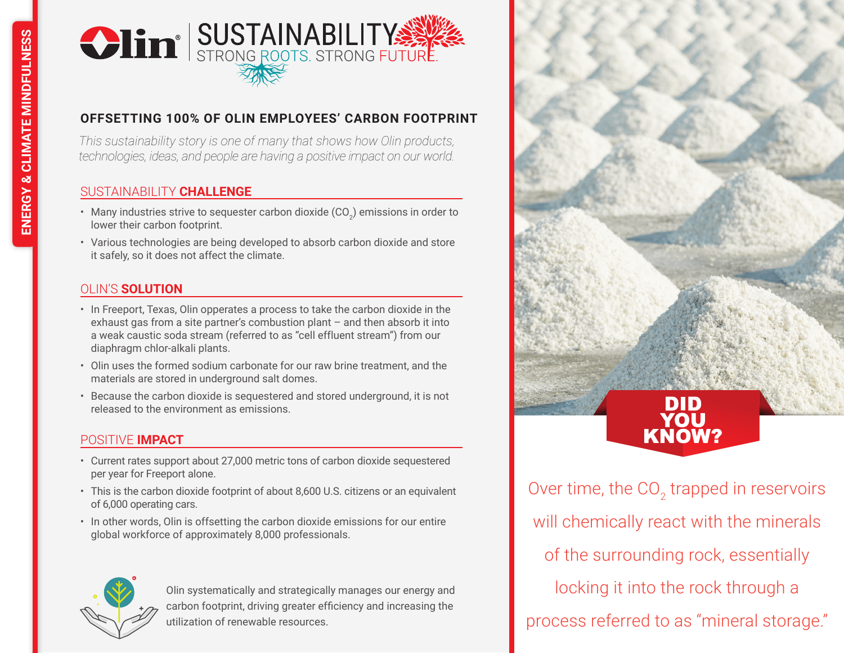

# **OFFSETTING 100% OF OLIN EMPLOYEES' CARBON FOOTPRINT**

*This sustainability story is one of many that shows how Olin products, technologies, ideas, and people are having a positive impact on our world.*

### SUSTAINABILITY **CHALLENGE**

- Many industries strive to sequester carbon dioxide (CO $_2$ ) emissions in order to lower their carbon footprint.
- Various technologies are being developed to absorb carbon dioxide and store it safely, so it does not affect the climate.

# OLIN'S **SOLUTION**

- In Freeport, Texas, Olin opperates a process to take the carbon dioxide in the exhaust gas from a site partner's combustion plant – and then absorb it into a weak caustic soda stream (referred to as "cell effluent stream") from our diaphragm chlor-alkali plants.
- Olin uses the formed sodium carbonate for our raw brine treatment, and the materials are stored in underground salt domes.
- Because the carbon dioxide is sequestered and stored underground, it is not released to the environment as emissions.

### POSITIVE **IMPACT**

- Current rates support about 27,000 metric tons of carbon dioxide sequestered per year for Freeport alone.
- This is the carbon dioxide footprint of about 8,600 U.S. citizens or an equivalent of 6,000 operating cars.
- In other words, Olin is offsetting the carbon dioxide emissions for our entire global workforce of approximately 8,000 professionals.



Olin systematically and strategically manages our energy and carbon footprint, driving greater efficiency and increasing the utilization of renewable resources.

KNOW? Over time, the CO<sub>2</sub> trapped in reservoirs will chemically react with the minerals of the surrounding rock, essentially locking it into the rock through a process referred to as "mineral storage."